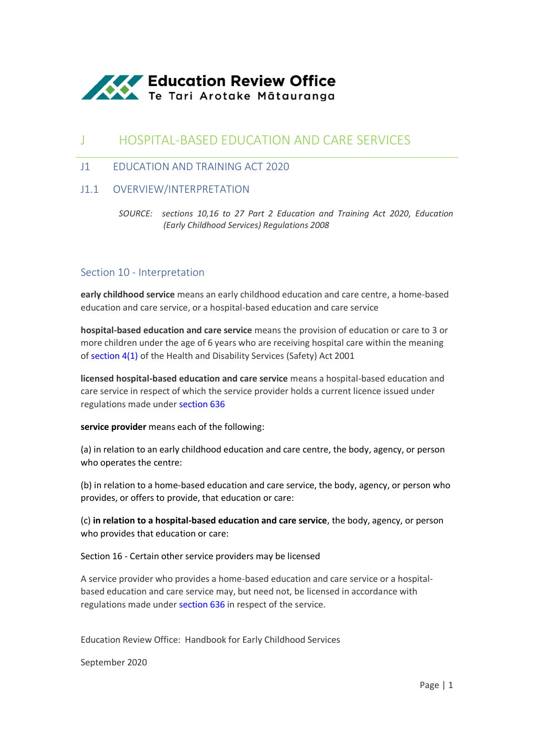

# J HOSPITAL-BASED EDUCATION AND CARE SERVICES

## J1 EDUCATION AND TRAINING ACT 2020

## J1.1 OVERVIEW/INTERPRETATION

*SOURCE: sections 10,16 to 27 Part 2 Education and Training Act 2020, Education (Early Childhood Services) Regulations 2008*

### Section 10 - [Interpretation](http://www.legislation.govt.nz/act/public/2020/0038/latest/link.aspx?search=ta_act_E_ac%40ainf%40anif_an%40bn%40rn_25_a&p=1&id=LMS171311)

**early childhood service** means an early childhood education and care centre, a home-based education and care service, or a hospital-based education and care service

**hospital-based education and care service** means the provision of education or care to 3 or more children under the age of 6 years who are receiving hospital care within the meaning o[f section 4\(1\)](http://www.legislation.govt.nz/act/public/2020/0038/latest/link.aspx?search=ta_act_E_ac%40ainf%40anif_an%40bn%40rn_25_a&p=1&id=DLM119982#DLM119982) of the Health and Disability Services (Safety) Act 2001

**licensed hospital-based education and care service** means a hospital-based education and care service in respect of which the service provider holds a current licence issued under regulations made unde[r section 636](http://www.legislation.govt.nz/act/public/2020/0038/latest/link.aspx?search=ta_act_E_ac%40ainf%40anif_an%40bn%40rn_25_a&p=1&id=LMS171321#LMS171321)

#### **service provider** means each of the following:

(a) in relation to an early childhood education and care centre, the body, agency, or person who operates the centre:

(b) in relation to a home-based education and care service, the body, agency, or person who provides, or offers to provide, that education or care:

(c) **in relation to a hospital-based education and care service**, the body, agency, or person who provides that education or care:

#### Section 16 - Certain other service providers may be licensed

A service provider who provides a home-based education and care service or a hospitalbased education and care service may, but need not, be licensed in accordance with regulations made unde[r section 636](http://www.legislation.govt.nz/act/public/2020/0038/latest/whole.html?search=ta_act_E_ac%40ainf%40anif_an%40bn%40rn_25_a&p=1#LMS171321) in respect of the service.

Education Review Office: Handbook for Early Childhood Services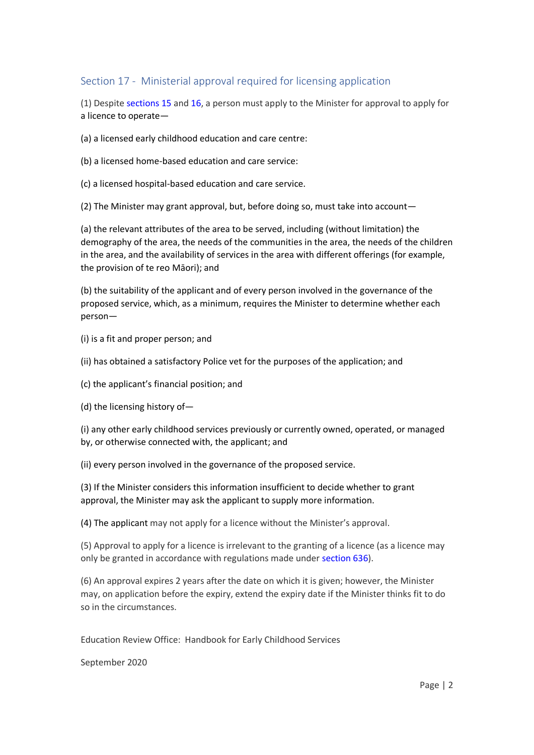## Section 17 - Ministerial approval required for licensing application

(1) Despite [sections 15](http://www.legislation.govt.nz/act/public/2020/0038/latest/whole.html?search=ta_act_E_ac%40ainf%40anif_an%40bn%40rn_25_a&p=1#LMS171341) and [16,](http://www.legislation.govt.nz/act/public/2020/0038/latest/whole.html?search=ta_act_E_ac%40ainf%40anif_an%40bn%40rn_25_a&p=1#LMS171320) a person must apply to the Minister for approval to apply for a licence to operate—

(a) a licensed early childhood education and care centre:

- (b) a licensed home-based education and care service:
- (c) a licensed hospital-based education and care service.

(2) The Minister may grant approval, but, before doing so, must take into account—

(a) the relevant attributes of the area to be served, including (without limitation) the demography of the area, the needs of the communities in the area, the needs of the children in the area, and the availability of services in the area with different offerings (for example, the provision of te reo Māori); and

(b) the suitability of the applicant and of every person involved in the governance of the proposed service, which, as a minimum, requires the Minister to determine whether each person—

(i) is a fit and proper person; and

(ii) has obtained a satisfactory Police vet for the purposes of the application; and

(c) the applicant's financial position; and

(d) the licensing history of—

(i) any other early childhood services previously or currently owned, operated, or managed by, or otherwise connected with, the applicant; and

(ii) every person involved in the governance of the proposed service.

(3) If the Minister considers this information insufficient to decide whether to grant approval, the Minister may ask the applicant to supply more information.

(4) The applicant may not apply for a licence without the Minister's approval.

(5) Approval to apply for a licence is irrelevant to the granting of a licence (as a licence may only be granted in accordance with regulations made under [section 636\)](http://www.legislation.govt.nz/act/public/2020/0038/latest/whole.html?search=ta_act_E_ac%40ainf%40anif_an%40bn%40rn_25_a&p=1#LMS171321).

(6) An approval expires 2 years after the date on which it is given; however, the Minister may, on application before the expiry, extend the expiry date if the Minister thinks fit to do so in the circumstances.

Education Review Office: Handbook for Early Childhood Services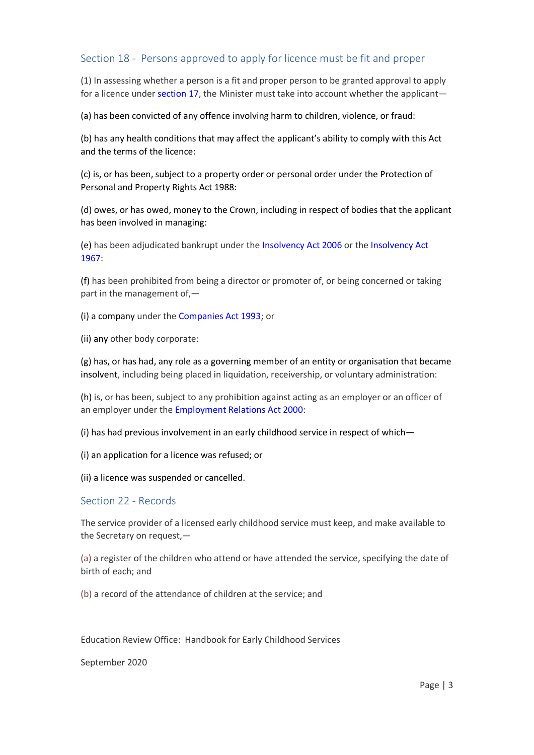## Section 18 - Persons approved to apply for licence must be fit and proper

(1) In assessing whether a person is a fit and proper person to be granted approval to apply for a licence under [section 17,](http://www.legislation.govt.nz/act/public/2020/0038/latest/whole.html?search=ta_act_E_ac%40ainf%40anif_an%40bn%40rn_25_a&p=1#LMS274559) the Minister must take into account whether the applicant—

(a) has been convicted of any offence involving harm to children, violence, or fraud:

(b) has any health conditions that may affect the applicant's ability to comply with this Act and the terms of the licence:

(c) is, or has been, subject to a property order or personal order under the Protection of Personal and Property Rights Act 1988:

(d) owes, or has owed, money to the Crown, including in respect of bodies that the applicant has been involved in managing:

(e) has been adjudicated bankrupt under the [Insolvency Act 2006](http://www.legislation.govt.nz/act/public/2020/0038/latest/link.aspx?search=ta_act_E_ac%40ainf%40anif_an%40bn%40rn_25_a&p=1&id=DLM385298) or the [Insolvency Act](http://www.legislation.govt.nz/act/public/2020/0038/latest/link.aspx?search=ta_act_E_ac%40ainf%40anif_an%40bn%40rn_25_a&p=1&id=DLM382333)  [1967:](http://www.legislation.govt.nz/act/public/2020/0038/latest/link.aspx?search=ta_act_E_ac%40ainf%40anif_an%40bn%40rn_25_a&p=1&id=DLM382333)

(f) has been prohibited from being a director or promoter of, or being concerned or taking part in the management of,—

(i) a company under the [Companies Act 1993;](http://www.legislation.govt.nz/act/public/2020/0038/latest/link.aspx?search=ta_act_E_ac%40ainf%40anif_an%40bn%40rn_25_a&p=1&id=DLM319569) or

(ii) any other body corporate:

(g) has, or has had, any role as a governing member of an entity or organisation that became insolvent, including being placed in liquidation, receivership, or voluntary administration:

(h) is, or has been, subject to any prohibition against acting as an employer or an officer of an employer under the [Employment Relations Act 2000:](http://www.legislation.govt.nz/act/public/2020/0038/latest/link.aspx?search=ta_act_E_ac%40ainf%40anif_an%40bn%40rn_25_a&p=1&id=DLM58316)

(i) has had previous involvement in an early childhood service in respect of which—

(i) an application for a licence was refused; or

(ii) a licence was suspended or cancelled.

### Section 22 - Records

The service provider of a licensed early childhood service must keep, and make available to the Secretary on request,—

(a) a register of the children who attend or have attended the service, specifying the date of birth of each; and

(b) a record of the attendance of children at the service; and

Education Review Office: Handbook for Early Childhood Services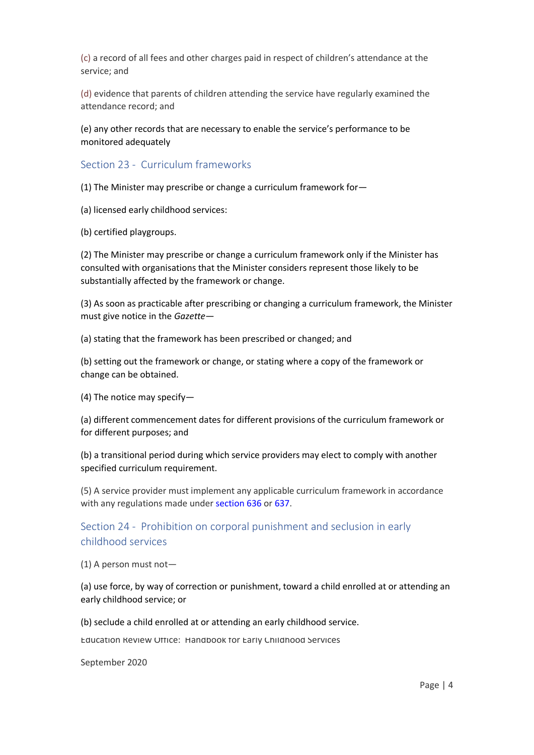(c) a record of all fees and other charges paid in respect of children's attendance at the service; and

(d) evidence that parents of children attending the service have regularly examined the attendance record; and

(e) any other records that are necessary to enable the service's performance to be monitored adequately

Section 23 - Curriculum frameworks

(1) The Minister may prescribe or change a curriculum framework for—

- (a) licensed early childhood services:
- (b) certified playgroups.

(2) The Minister may prescribe or change a curriculum framework only if the Minister has consulted with organisations that the Minister considers represent those likely to be substantially affected by the framework or change.

(3) As soon as practicable after prescribing or changing a curriculum framework, the Minister must give notice in the *Gazette*—

(a) stating that the framework has been prescribed or changed; and

(b) setting out the framework or change, or stating where a copy of the framework or change can be obtained.

(4) The notice may specify—

(a) different commencement dates for different provisions of the curriculum framework or for different purposes; and

(b) a transitional period during which service providers may elect to comply with another specified curriculum requirement.

(5) A service provider must implement any applicable curriculum framework in accordance with any regulations made unde[r section 636](http://www.legislation.govt.nz/act/public/2020/0038/latest/whole.html?search=ta_act_E_ac%40ainf%40anif_an%40bn%40rn_25_a&p=1#LMS171321) or [637.](http://www.legislation.govt.nz/act/public/2020/0038/latest/whole.html?search=ta_act_E_ac%40ainf%40anif_an%40bn%40rn_25_a&p=1#LMS171328)

## Section 24 - Prohibition on corporal punishment and seclusion in early childhood services

(1) A person must not—

(a) use force, by way of correction or punishment, toward a child enrolled at or attending an early childhood service; or

(b) seclude a child enrolled at or attending an early childhood service.

Education Review Office: Handbook for Early Childhood Services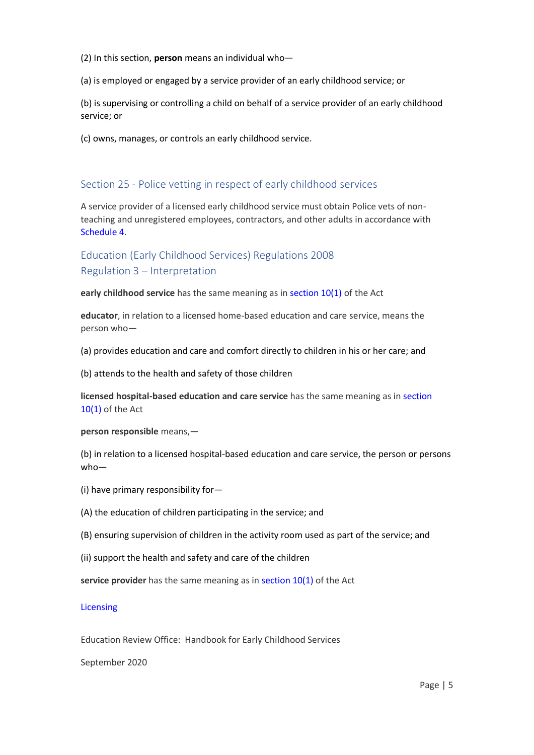(2) In this section, **person** means an individual who—

(a) is employed or engaged by a service provider of an early childhood service; or

(b) is supervising or controlling a child on behalf of a service provider of an early childhood service; or

(c) owns, manages, or controls an early childhood service.

## Section 25 - Police vetting in respect of early childhood services

A service provider of a licensed early childhood service must obtain Police vets of nonteaching and unregistered employees, contractors, and other adults in accordance with [Schedule 4.](http://www.legislation.govt.nz/act/public/2020/0038/latest/whole.html?search=ta_act_E_ac%40ainf%40anif_an%40bn%40rn_25_a&p=1#LMS176165)

## Education (Early Childhood Services) Regulations 2008 Regulation 3 – Interpretation

**early childhood service** has the same meaning as in [section 10\(1\)](http://www.legislation.govt.nz/regulation/public/2008/0204/latest/link.aspx?search=ta_regulation_E_rc%40rinf%40rnif_an%40bn%40rn_25_a&p=1&id=LMS171311#LMS171311) of the Act

**educator**, in relation to a licensed home-based education and care service, means the person who—

(a) provides education and care and comfort directly to children in his or her care; and

(b) attends to the health and safety of those children

**licensed hospital-based education and care service** has the same meaning as i[n section](http://www.legislation.govt.nz/regulation/public/2008/0204/latest/link.aspx?search=ta_regulation_E_rc%40rinf%40rnif_an%40bn%40rn_25_a&p=1&id=LMS171311#LMS171311)  [10\(1\)](http://www.legislation.govt.nz/regulation/public/2008/0204/latest/link.aspx?search=ta_regulation_E_rc%40rinf%40rnif_an%40bn%40rn_25_a&p=1&id=LMS171311#LMS171311) of the Act

**person responsible** means,—

(b) in relation to a licensed hospital-based education and care service, the person or persons who—

- (i) have primary responsibility for—
- (A) the education of children participating in the service; and
- (B) ensuring supervision of children in the activity room used as part of the service; and
- (ii) support the health and safety and care of the children

**service provider** has the same meaning as i[n section 10\(1\)](http://www.legislation.govt.nz/regulation/public/2008/0204/latest/link.aspx?search=ta_regulation_E_rc%40rinf%40rnif_an%40bn%40rn_25_a&p=1&id=LMS171311#LMS171311) of the Act

#### **[Licensing](http://www.legislation.govt.nz/regulation/public/2008/0204/latest/link.aspx?search=ta_regulation_E_rc%40rinf%40rnif_an%40bn%40rn_25_a&p=1&id=DLM1412557)**

Education Review Office: Handbook for Early Childhood Services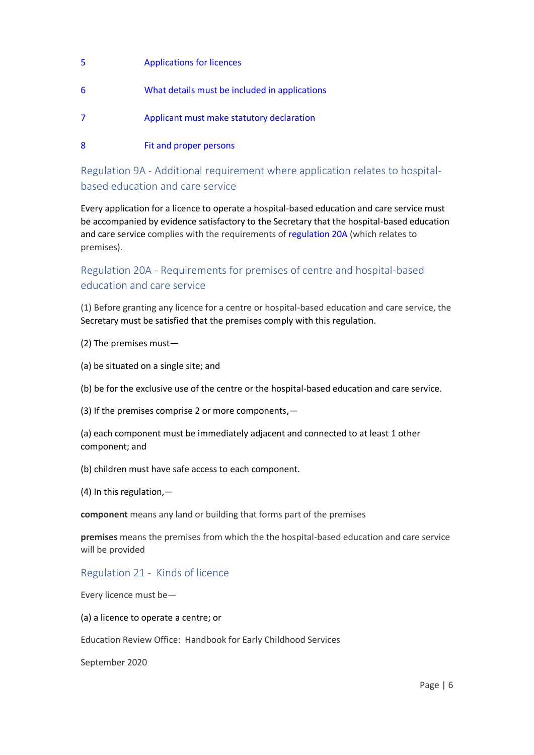- [5](http://www.legislation.govt.nz/regulation/public/2008/0204/latest/link.aspx?search=ta_regulation_E_rc%40rinf%40rnif_an%40bn%40rn_25_a&p=1&id=DLM1412558) [Applications for licences](http://www.legislation.govt.nz/regulation/public/2008/0204/latest/link.aspx?search=ta_regulation_E_rc%40rinf%40rnif_an%40bn%40rn_25_a&p=1&id=DLM1412558) [6](http://www.legislation.govt.nz/regulation/public/2008/0204/latest/link.aspx?search=ta_regulation_E_rc%40rinf%40rnif_an%40bn%40rn_25_a&p=1&id=DLM1412559) [What details must be included in applications](http://www.legislation.govt.nz/regulation/public/2008/0204/latest/link.aspx?search=ta_regulation_E_rc%40rinf%40rnif_an%40bn%40rn_25_a&p=1&id=DLM1412559) [7](http://www.legislation.govt.nz/regulation/public/2008/0204/latest/link.aspx?search=ta_regulation_E_rc%40rinf%40rnif_an%40bn%40rn_25_a&p=1&id=DLM1412561) [Applicant must make statutory declaration](http://www.legislation.govt.nz/regulation/public/2008/0204/latest/link.aspx?search=ta_regulation_E_rc%40rinf%40rnif_an%40bn%40rn_25_a&p=1&id=DLM1412561)
- [8](http://www.legislation.govt.nz/regulation/public/2008/0204/latest/link.aspx?search=ta_regulation_E_rc%40rinf%40rnif_an%40bn%40rn_25_a&p=1&id=DLM1412562) [Fit and proper persons](http://www.legislation.govt.nz/regulation/public/2008/0204/latest/link.aspx?search=ta_regulation_E_rc%40rinf%40rnif_an%40bn%40rn_25_a&p=1&id=DLM1412562)

Regulation 9A - Additional requirement where application relates to hospitalbased education and care service

Every application for a licence to operate a hospital-based education and care service must be accompanied by evidence satisfactory to the Secretary that the hospital-based education and care service complies with the requirements o[f regulation 20A](http://www.legislation.govt.nz/regulation/public/2008/0204/latest/whole.html?search=ta_regulation_E_rc%40rinf%40rnif_an%40bn%40rn_25_a&p=1#DLM3902707) (which relates to premises).

## Regulation 20A - Requirements for premises of centre and hospital-based education and care service

(1) Before granting any licence for a centre or hospital-based education and care service, the Secretary must be satisfied that the premises comply with this regulation.

(2) The premises must—

(a) be situated on a single site; and

(b) be for the exclusive use of the centre or the hospital-based education and care service.

(3) If the premises comprise 2 or more components,—

(a) each component must be immediately adjacent and connected to at least 1 other component; and

(b) children must have safe access to each component.

(4) In this regulation,—

**component** means any land or building that forms part of the premises

**premises** means the premises from which the the hospital-based education and care service will be provided

## Regulation 21 - Kinds of licence

Every licence must be—

(a) a licence to operate a centre; or

Education Review Office: Handbook for Early Childhood Services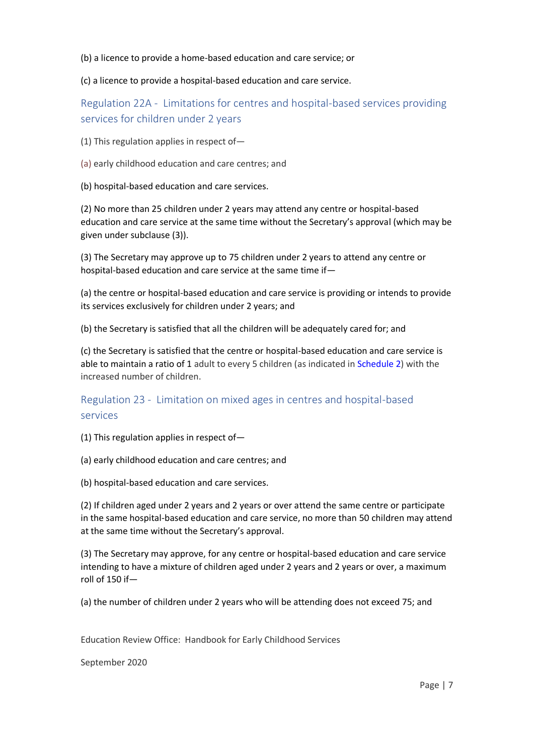(b) a licence to provide a home-based education and care service; or

(c) a licence to provide a hospital-based education and care service.

Regulation 22A - Limitations for centres and hospital-based services providing services for children under 2 years

(1) This regulation applies in respect of—

- (a) early childhood education and care centres; and
- (b) hospital-based education and care services.

(2) No more than 25 children under 2 years may attend any centre or hospital-based education and care service at the same time without the Secretary's approval (which may be given under subclause (3)).

(3) The Secretary may approve up to 75 children under 2 years to attend any centre or hospital-based education and care service at the same time if—

(a) the centre or hospital-based education and care service is providing or intends to provide its services exclusively for children under 2 years; and

(b) the Secretary is satisfied that all the children will be adequately cared for; and

(c) the Secretary is satisfied that the centre or hospital-based education and care service is able to maintain a ratio of 1 adult to every 5 children (as indicated i[n Schedule 2\)](http://www.legislation.govt.nz/regulation/public/2008/0204/latest/whole.html?search=ta_regulation_E_rc%40rinf%40rnif_an%40bn%40rn_25_a&p=1#DLM1412637) with the increased number of children.

Regulation 23 - Limitation on mixed ages in centres and hospital-based services

(1) This regulation applies in respect of—

- (a) early childhood education and care centres; and
- (b) hospital-based education and care services.

(2) If children aged under 2 years and 2 years or over attend the same centre or participate in the same hospital-based education and care service, no more than 50 children may attend at the same time without the Secretary's approval.

(3) The Secretary may approve, for any centre or hospital-based education and care service intending to have a mixture of children aged under 2 years and 2 years or over, a maximum roll of 150 if—

(a) the number of children under 2 years who will be attending does not exceed 75; and

Education Review Office: Handbook for Early Childhood Services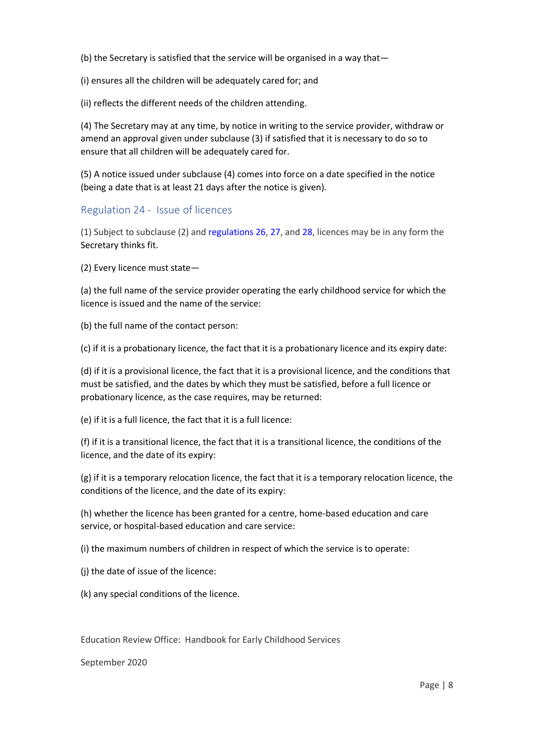(b) the Secretary is satisfied that the service will be organised in a way that—

(i) ensures all the children will be adequately cared for; and

(ii) reflects the different needs of the children attending.

(4) The Secretary may at any time, by notice in writing to the service provider, withdraw or amend an approval given under subclause (3) if satisfied that it is necessary to do so to ensure that all children will be adequately cared for.

(5) A notice issued under subclause (4) comes into force on a date specified in the notice (being a date that is at least 21 days after the notice is given).

### Regulation 24 - Issue of licences

(1) Subject to subclause (2) and [regulations 26,](http://www.legislation.govt.nz/regulation/public/2008/0204/latest/whole.html?search=ta_regulation_E_rc%40rinf%40rnif_an%40bn%40rn_25_a&p=1#DLM1412587) [27,](http://www.legislation.govt.nz/regulation/public/2008/0204/latest/whole.html?search=ta_regulation_E_rc%40rinf%40rnif_an%40bn%40rn_25_a&p=1#DLM1412588) and [28,](http://www.legislation.govt.nz/regulation/public/2008/0204/latest/whole.html?search=ta_regulation_E_rc%40rinf%40rnif_an%40bn%40rn_25_a&p=1#DLM1412589) licences may be in any form the Secretary thinks fit.

(2) Every licence must state—

(a) the full name of the service provider operating the early childhood service for which the licence is issued and the name of the service:

(b) the full name of the contact person:

(c) if it is a probationary licence, the fact that it is a probationary licence and its expiry date:

(d) if it is a provisional licence, the fact that it is a provisional licence, and the conditions that must be satisfied, and the dates by which they must be satisfied, before a full licence or probationary licence, as the case requires, may be returned:

(e) if it is a full licence, the fact that it is a full licence:

(f) if it is a transitional licence, the fact that it is a transitional licence, the conditions of the licence, and the date of its expiry:

(g) if it is a temporary relocation licence, the fact that it is a temporary relocation licence, the conditions of the licence, and the date of its expiry:

(h) whether the licence has been granted for a centre, home-based education and care service, or hospital-based education and care service:

(i) the maximum numbers of children in respect of which the service is to operate:

(j) the date of issue of the licence:

(k) any special conditions of the licence.

Education Review Office: Handbook for Early Childhood Services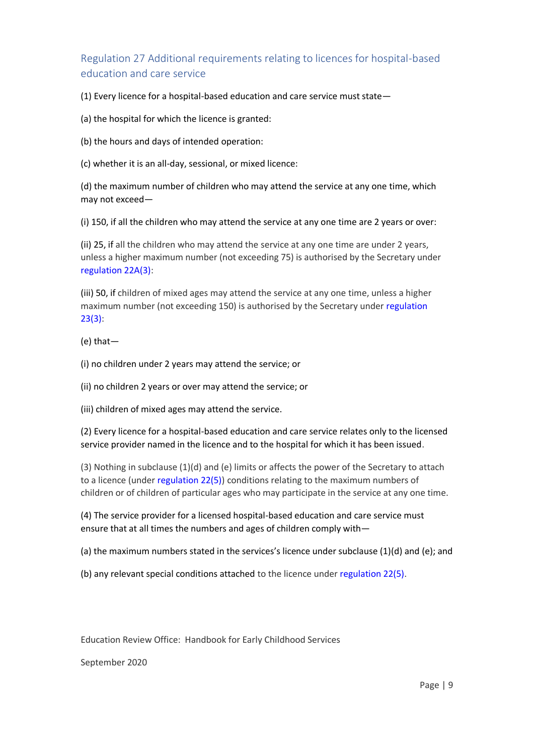Regulation 27 Additional requirements relating to licences for hospital-based education and care service

(1) Every licence for a hospital-based education and care service must state—

(a) the hospital for which the licence is granted:

(b) the hours and days of intended operation:

(c) whether it is an all-day, sessional, or mixed licence:

(d) the maximum number of children who may attend the service at any one time, which may not exceed—

(i) 150, if all the children who may attend the service at any one time are 2 years or over:

(ii) 25, if all the children who may attend the service at any one time are under 2 years, unless a higher maximum number (not exceeding 75) is authorised by the Secretary under [regulation 22A\(3\):](http://www.legislation.govt.nz/regulation/public/2008/0204/latest/whole.html?search=ta_regulation_E_rc%40rinf%40rnif_an%40bn%40rn_25_a&p=1#DLM3902717)

(iii) 50, if children of mixed ages may attend the service at any one time, unless a higher maximum number (not exceeding 150) is authorised by the Secretary under [regulation](http://www.legislation.govt.nz/regulation/public/2008/0204/latest/whole.html?search=ta_regulation_E_rc%40rinf%40rnif_an%40bn%40rn_25_a&p=1#DLM1412584)  [23\(3\):](http://www.legislation.govt.nz/regulation/public/2008/0204/latest/whole.html?search=ta_regulation_E_rc%40rinf%40rnif_an%40bn%40rn_25_a&p=1#DLM1412584)

(e) that—

(i) no children under 2 years may attend the service; or

(ii) no children 2 years or over may attend the service; or

(iii) children of mixed ages may attend the service.

(2) Every licence for a hospital-based education and care service relates only to the licensed service provider named in the licence and to the hospital for which it has been issued.

(3) Nothing in subclause  $(1)(d)$  and (e) limits or affects the power of the Secretary to attach to a licence (under [regulation 22\(5\)\)](http://www.legislation.govt.nz/regulation/public/2008/0204/latest/whole.html?search=ta_regulation_E_rc%40rinf%40rnif_an%40bn%40rn_25_a&p=1#DLM1412583) conditions relating to the maximum numbers of children or of children of particular ages who may participate in the service at any one time.

(4) The service provider for a licensed hospital-based education and care service must ensure that at all times the numbers and ages of children comply with—

(a) the maximum numbers stated in the services's licence under subclause  $(1)(d)$  and  $(e)$ ; and

(b) any relevant special conditions attached to the licence under [regulation 22\(5\).](http://www.legislation.govt.nz/regulation/public/2008/0204/latest/whole.html?search=ta_regulation_E_rc%40rinf%40rnif_an%40bn%40rn_25_a&p=1#DLM1412583)

Education Review Office: Handbook for Early Childhood Services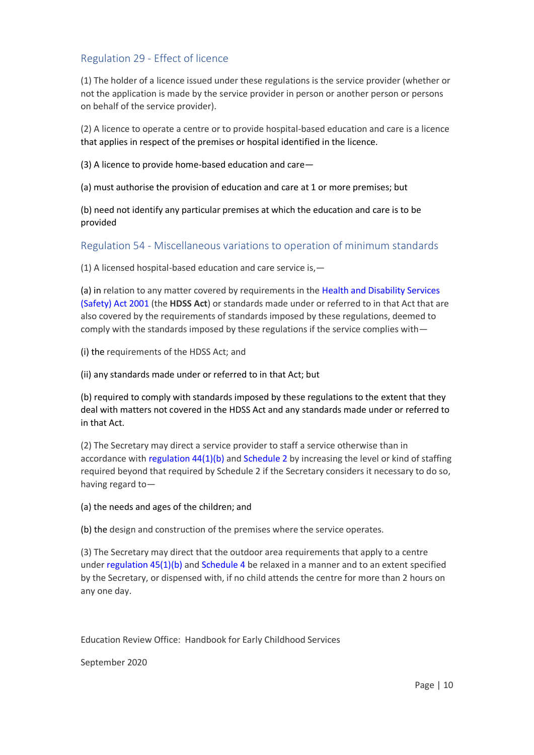## Regulation 29 - Effect of licence

(1) The holder of a licence issued under these regulations is the service provider (whether or not the application is made by the service provider in person or another person or persons on behalf of the service provider).

(2) A licence to operate a centre or to provide hospital-based education and care is a licence that applies in respect of the premises or hospital identified in the licence.

(3) A licence to provide home-based education and care—

(a) must authorise the provision of education and care at 1 or more premises; but

(b) need not identify any particular premises at which the education and care is to be provided

## Regulation 54 - Miscellaneous variations to operation of minimum standards

(1) A licensed hospital-based education and care service is,—

(a) in relation to any matter covered by requirements in the [Health and Disability Services](http://www.legislation.govt.nz/regulation/public/2008/0204/latest/link.aspx?search=ta_regulation_E_rc%40rinf%40rnif_an%40bn%40rn_25_a&p=1&id=DLM119974)  [\(Safety\) Act 2001](http://www.legislation.govt.nz/regulation/public/2008/0204/latest/link.aspx?search=ta_regulation_E_rc%40rinf%40rnif_an%40bn%40rn_25_a&p=1&id=DLM119974) (the **HDSS Act**) or standards made under or referred to in that Act that are also covered by the requirements of standards imposed by these regulations, deemed to comply with the standards imposed by these regulations if the service complies with—

(i) the requirements of the HDSS Act; and

(ii) any standards made under or referred to in that Act; but

(b) required to comply with standards imposed by these regulations to the extent that they deal with matters not covered in the HDSS Act and any standards made under or referred to in that Act.

(2) The Secretary may direct a service provider to staff a service otherwise than in accordance with regulation  $44(1)(b)$  and [Schedule 2](http://www.legislation.govt.nz/regulation/public/2008/0204/latest/whole.html?search=ta_regulation_E_rc%40rinf%40rnif_an%40bn%40rn_25_a&p=1#DLM1412637) by increasing the level or kind of staffing required beyond that required by Schedule 2 if the Secretary considers it necessary to do so, having regard to—

(a) the needs and ages of the children; and

(b) the design and construction of the premises where the service operates.

(3) The Secretary may direct that the outdoor area requirements that apply to a centre under [regulation 45\(1\)\(b\)](http://www.legislation.govt.nz/regulation/public/2008/0204/latest/whole.html?search=ta_regulation_E_rc%40rinf%40rnif_an%40bn%40rn_25_a&p=1#DLM1412618) and [Schedule 4](http://www.legislation.govt.nz/regulation/public/2008/0204/latest/whole.html?search=ta_regulation_E_rc%40rinf%40rnif_an%40bn%40rn_25_a&p=1#DLM1412645) be relaxed in a manner and to an extent specified by the Secretary, or dispensed with, if no child attends the centre for more than 2 hours on any one day.

Education Review Office: Handbook for Early Childhood Services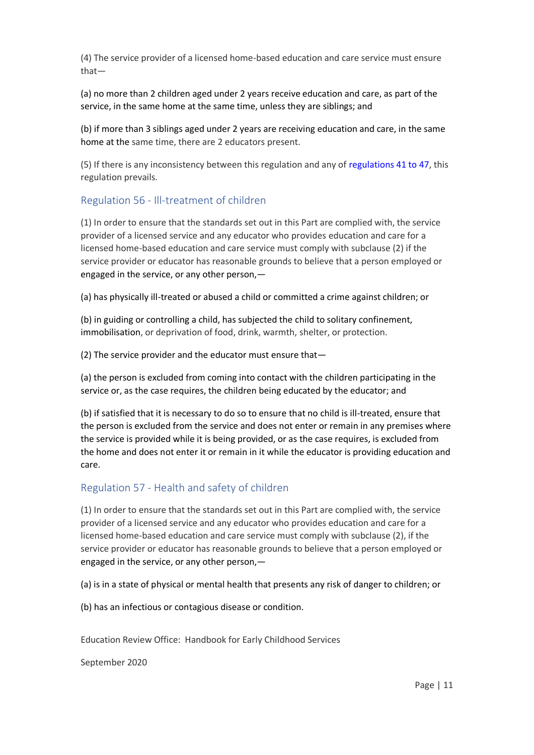(4) The service provider of a licensed home-based education and care service must ensure that—

(a) no more than 2 children aged under 2 years receive education and care, as part of the service, in the same home at the same time, unless they are siblings; and

(b) if more than 3 siblings aged under 2 years are receiving education and care, in the same home at the same time, there are 2 educators present.

(5) If there is any inconsistency between this regulation and any of [regulations 41 to 47,](http://www.legislation.govt.nz/regulation/public/2008/0204/latest/whole.html?search=ta_regulation_E_rc%40rinf%40rnif_an%40bn%40rn_25_a&p=1#DLM1412606) this regulation prevails.

## Regulation 56 - Ill-treatment of children

(1) In order to ensure that the standards set out in this Part are complied with, the service provider of a licensed service and any educator who provides education and care for a licensed home-based education and care service must comply with subclause (2) if the service provider or educator has reasonable grounds to believe that a person employed or engaged in the service, or any other person,—

(a) has physically ill-treated or abused a child or committed a crime against children; or

(b) in guiding or controlling a child, has subjected the child to solitary confinement, immobilisation, or deprivation of food, drink, warmth, shelter, or protection.

(2) The service provider and the educator must ensure that—

(a) the person is excluded from coming into contact with the children participating in the service or, as the case requires, the children being educated by the educator; and

(b) if satisfied that it is necessary to do so to ensure that no child is ill-treated, ensure that the person is excluded from the service and does not enter or remain in any premises where the service is provided while it is being provided, or as the case requires, is excluded from the home and does not enter it or remain in it while the educator is providing education and care.

### Regulation 57 - Health and safety of children

(1) In order to ensure that the standards set out in this Part are complied with, the service provider of a licensed service and any educator who provides education and care for a licensed home-based education and care service must comply with subclause (2), if the service provider or educator has reasonable grounds to believe that a person employed or engaged in the service, or any other person,—

(a) is in a state of physical or mental health that presents any risk of danger to children; or

(b) has an infectious or contagious disease or condition.

Education Review Office: Handbook for Early Childhood Services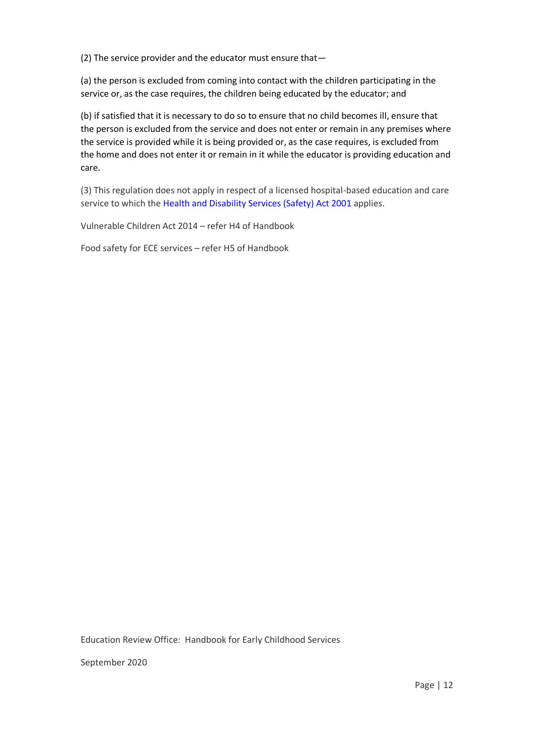(2) The service provider and the educator must ensure that—

(a) the person is excluded from coming into contact with the children participating in the service or, as the case requires, the children being educated by the educator; and

(b) if satisfied that it is necessary to do so to ensure that no child becomes ill, ensure that the person is excluded from the service and does not enter or remain in any premises where the service is provided while it is being provided or, as the case requires, is excluded from the home and does not enter it or remain in it while the educator is providing education and care.

(3) This regulation does not apply in respect of a licensed hospital-based education and care service to which the [Health and Disability Services \(Safety\) Act 2001](http://www.legislation.govt.nz/regulation/public/2008/0204/latest/link.aspx?search=ta_regulation_E_rc%40rinf%40rnif_an%40bn%40rn_25_a&p=1&id=DLM119974) applies.

Vulnerable Children Act 2014 – refer H4 of Handbook

Food safety for ECE services – refer H5 of Handbook

Education Review Office: Handbook for Early Childhood Services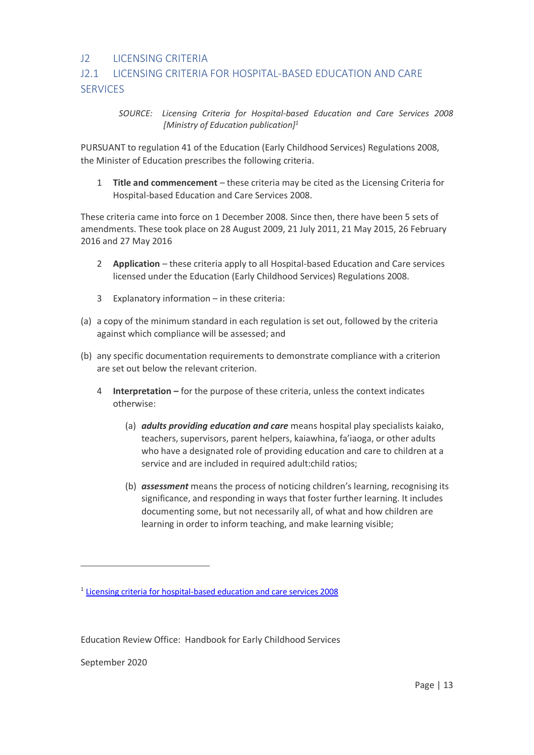## J2 LICENSING CRITERIA

# J2.1 LICENSING CRITERIA FOR HOSPITAL-BASED EDUCATION AND CARE **SERVICES**

*SOURCE: Licensing Criteria for Hospital-based Education and Care Services 2008 [Ministry of Education publication]<sup>1</sup>*

PURSUANT to regulation 41 of the Education (Early Childhood Services) Regulations 2008, the Minister of Education prescribes the following criteria.

1 **Title and commencement** – these criteria may be cited as the Licensing Criteria for Hospital-based Education and Care Services 2008.

These criteria came into force on 1 December 2008. Since then, there have been 5 sets of amendments. These took place on 28 August 2009, 21 July 2011, 21 May 2015, 26 February 2016 and 27 May 2016

- 2 **Application** these criteria apply to all Hospital-based Education and Care services licensed under the Education (Early Childhood Services) Regulations 2008.
- 3 Explanatory information in these criteria:
- (a) a copy of the minimum standard in each regulation is set out, followed by the criteria against which compliance will be assessed; and
- (b) any specific documentation requirements to demonstrate compliance with a criterion are set out below the relevant criterion.
	- 4 **Interpretation –** for the purpose of these criteria, unless the context indicates otherwise:
		- (a) *adults providing education and care* means hospital play specialists kaiako, teachers, supervisors, parent helpers, kaiawhina, fa'iaoga, or other adults who have a designated role of providing education and care to children at a service and are included in required adult:child ratios;
		- (b) *assessment* means the process of noticing children's learning, recognising its significance, and responding in ways that foster further learning. It includes documenting some, but not necessarily all, of what and how children are learning in order to inform teaching, and make learning visible;

Education Review Office: Handbook for Early Childhood Services

September 2020

-

<sup>&</sup>lt;sup>1</sup> [Licensing criteria for hospital-based education and care services 2008](https://www.education.govt.nz/early-childhood/licensing-and-regulations/the-regulatory-framework-for-ece/licensing-criteria/hospital-based-ece-services/)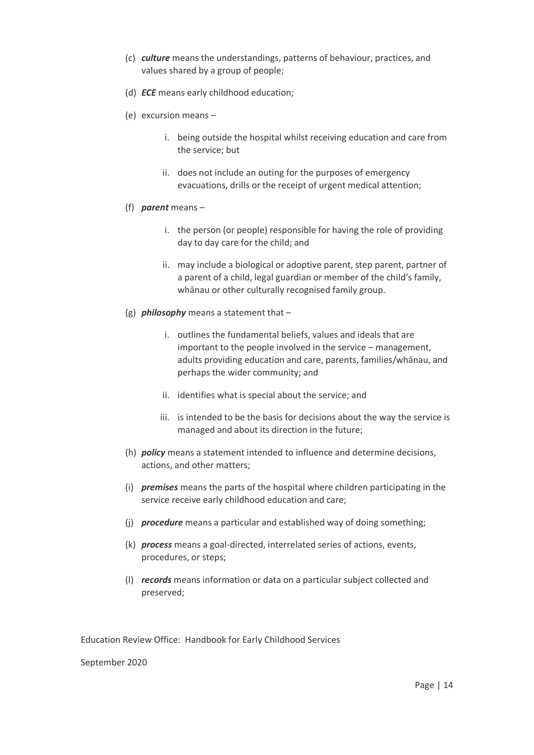- (c) *culture* means the understandings, patterns of behaviour, practices, and values shared by a group of people;
- (d) *ECE* means early childhood education;
- (e) excursion means
	- i. being outside the hospital whilst receiving education and care from the service; but
	- ii. does not include an outing for the purposes of emergency evacuations, drills or the receipt of urgent medical attention;
- (f) *parent* means
	- i. the person (or people) responsible for having the role of providing day to day care for the child; and
	- ii. may include a biological or adoptive parent, step parent, partner of a parent of a child, legal guardian or member of the child's family, whānau or other culturally recognised family group.
- (g) *philosophy* means a statement that
	- i. outlines the fundamental beliefs, values and ideals that are important to the people involved in the service – management, adults providing education and care, parents, families/whānau, and perhaps the wider community; and
	- ii. identifies what is special about the service; and
	- iii. is intended to be the basis for decisions about the way the service is managed and about its direction in the future;
- (h) *policy* means a statement intended to influence and determine decisions, actions, and other matters;
- (i) *premises* means the parts of the hospital where children participating in the service receive early childhood education and care;
- (j) *procedure* means a particular and established way of doing something;
- (k) *process* means a goal-directed, interrelated series of actions, events, procedures, or steps;
- (l) *records* means information or data on a particular subject collected and preserved;

Education Review Office: Handbook for Early Childhood Services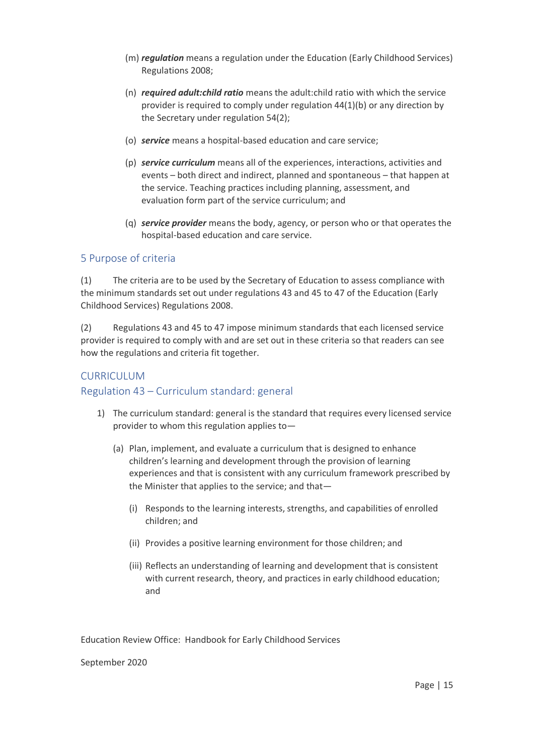- (m) *regulation* means a regulation under the Education (Early Childhood Services) Regulations 2008;
- (n) *required adult:child ratio* means the adult:child ratio with which the service provider is required to comply under regulation 44(1)(b) or any direction by the Secretary under regulation 54(2);
- (o) *service* means a hospital-based education and care service;
- (p) *service curriculum* means all of the experiences, interactions, activities and events – both direct and indirect, planned and spontaneous – that happen at the service. Teaching practices including planning, assessment, and evaluation form part of the service curriculum; and
- (q) *service provider* means the body, agency, or person who or that operates the hospital-based education and care service.

## 5 Purpose of criteria

(1) The criteria are to be used by the Secretary of Education to assess compliance with the minimum standards set out under regulations 43 and 45 to 47 of the Education (Early Childhood Services) Regulations 2008.

(2) Regulations 43 and 45 to 47 impose minimum standards that each licensed service provider is required to comply with and are set out in these criteria so that readers can see how the regulations and criteria fit together.

### CURRICULUM

### Regulation 43 – Curriculum standard: general

- 1) The curriculum standard: general is the standard that requires every licensed service provider to whom this regulation applies to—
	- (a) Plan, implement, and evaluate a curriculum that is designed to enhance children's learning and development through the provision of learning experiences and that is consistent with any curriculum framework prescribed by the Minister that applies to the service; and that—
		- (i) Responds to the learning interests, strengths, and capabilities of enrolled children; and
		- (ii) Provides a positive learning environment for those children; and
		- (iii) Reflects an understanding of learning and development that is consistent with current research, theory, and practices in early childhood education; and

Education Review Office: Handbook for Early Childhood Services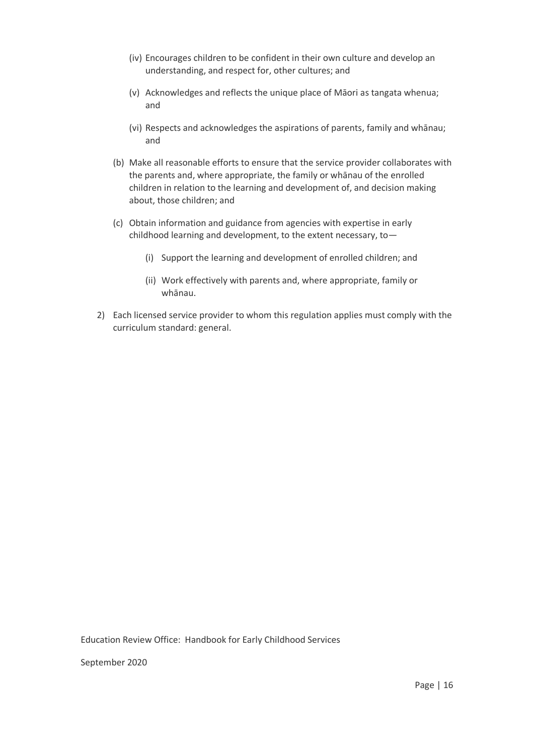- (iv) Encourages children to be confident in their own culture and develop an understanding, and respect for, other cultures; and
- (v) Acknowledges and reflects the unique place of Māori as tangata whenua; and
- (vi) Respects and acknowledges the aspirations of parents, family and whānau; and
- (b) Make all reasonable efforts to ensure that the service provider collaborates with the parents and, where appropriate, the family or whānau of the enrolled children in relation to the learning and development of, and decision making about, those children; and
- (c) Obtain information and guidance from agencies with expertise in early childhood learning and development, to the extent necessary, to—
	- (i) Support the learning and development of enrolled children; and
	- (ii) Work effectively with parents and, where appropriate, family or whānau.
- 2) Each licensed service provider to whom this regulation applies must comply with the curriculum standard: general.

Education Review Office: Handbook for Early Childhood Services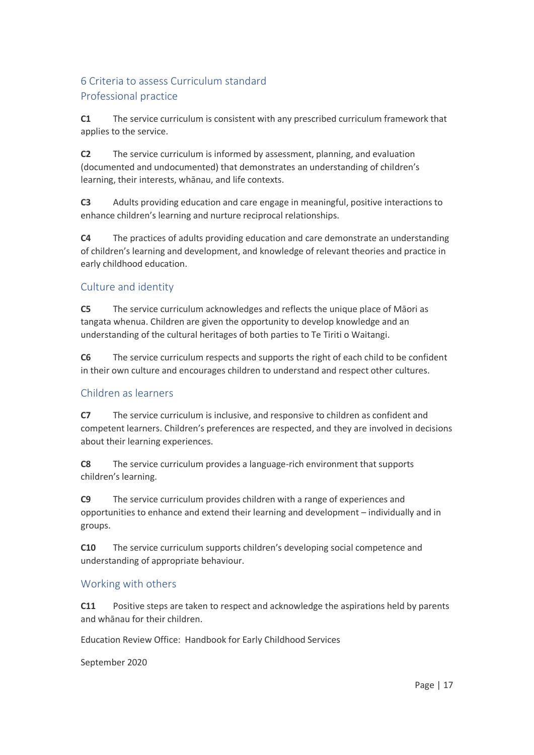# 6 Criteria to assess Curriculum standard Professional practice

**C1** The service curriculum is consistent with any prescribed curriculum framework that applies to the service.

**C2** The service curriculum is informed by assessment, planning, and evaluation (documented and undocumented) that demonstrates an understanding of children's learning, their interests, whānau, and life contexts.

**C3** Adults providing education and care engage in meaningful, positive interactions to enhance children's learning and nurture reciprocal relationships.

**C4** The practices of adults providing education and care demonstrate an understanding of children's learning and development, and knowledge of relevant theories and practice in early childhood education.

## Culture and identity

**C5** The service curriculum acknowledges and reflects the unique place of Māori as tangata whenua. Children are given the opportunity to develop knowledge and an understanding of the cultural heritages of both parties to Te Tiriti o Waitangi.

**C6** The service curriculum respects and supports the right of each child to be confident in their own culture and encourages children to understand and respect other cultures.

## Children as learners

**C7** The service curriculum is inclusive, and responsive to children as confident and competent learners. Children's preferences are respected, and they are involved in decisions about their learning experiences.

**C8** The service curriculum provides a language-rich environment that supports children's learning.

**C9** The service curriculum provides children with a range of experiences and opportunities to enhance and extend their learning and development – individually and in groups.

**C10** The service curriculum supports children's developing social competence and understanding of appropriate behaviour.

## Working with others

**C11** Positive steps are taken to respect and acknowledge the aspirations held by parents and whānau for their children.

Education Review Office: Handbook for Early Childhood Services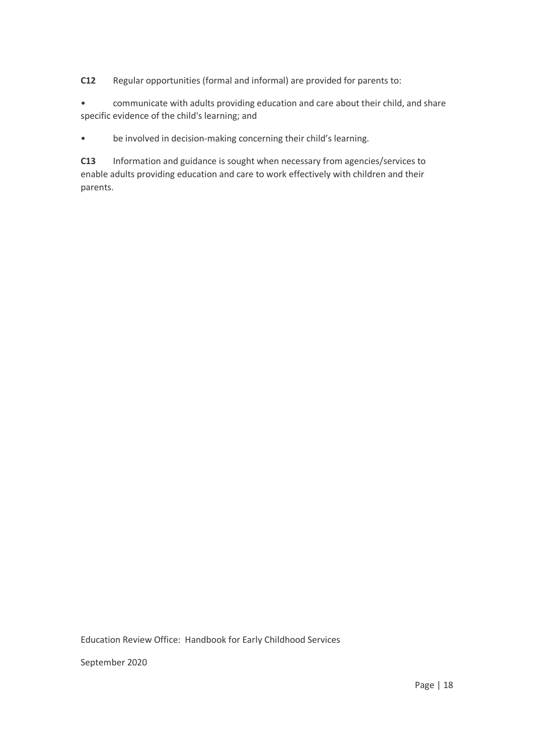**C12** Regular opportunities (formal and informal) are provided for parents to:

• communicate with adults providing education and care about their child, and share specific evidence of the child's learning; and

• be involved in decision-making concerning their child's learning.

**C13** Information and guidance is sought when necessary from agencies/services to enable adults providing education and care to work effectively with children and their parents.

Education Review Office: Handbook for Early Childhood Services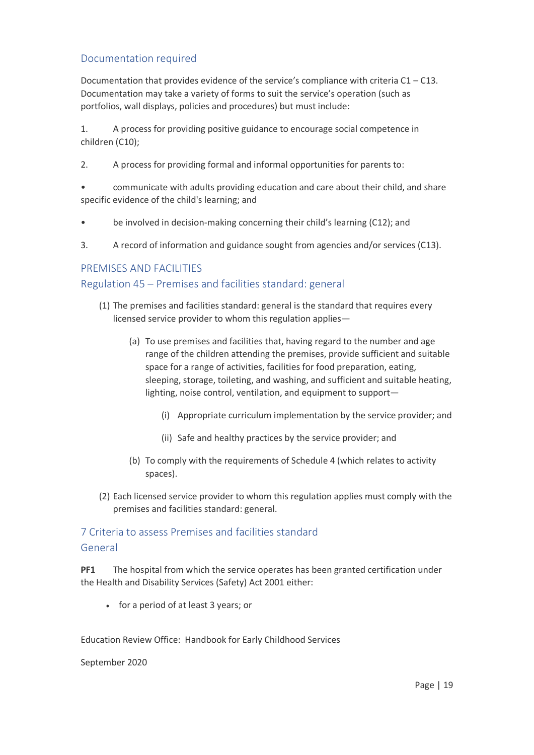## Documentation required

Documentation that provides evidence of the service's compliance with criteria  $C1 - C13$ . Documentation may take a variety of forms to suit the service's operation (such as portfolios, wall displays, policies and procedures) but must include:

1. A process for providing positive guidance to encourage social competence in children (C10);

- 2. A process for providing formal and informal opportunities for parents to:
- communicate with adults providing education and care about their child, and share specific evidence of the child's learning; and
- be involved in decision-making concerning their child's learning (C12); and
- 3. A record of information and guidance sought from agencies and/or services (C13).

### PREMISES AND FACILITIES

### Regulation 45 – Premises and facilities standard: general

- (1) The premises and facilities standard: general is the standard that requires every licensed service provider to whom this regulation applies—
	- (a) To use premises and facilities that, having regard to the number and age range of the children attending the premises, provide sufficient and suitable space for a range of activities, facilities for food preparation, eating, sleeping, storage, toileting, and washing, and sufficient and suitable heating, lighting, noise control, ventilation, and equipment to support—
		- (i) Appropriate curriculum implementation by the service provider; and
		- (ii) Safe and healthy practices by the service provider; and
	- (b) To comply with the requirements of Schedule 4 (which relates to activity spaces).
- (2) Each licensed service provider to whom this regulation applies must comply with the premises and facilities standard: general.

## 7 Criteria to assess Premises and facilities standard General

**PF1** The hospital from which the service operates has been granted certification under the Health and Disability Services (Safety) Act 2001 either:

• for a period of at least 3 years; or

Education Review Office: Handbook for Early Childhood Services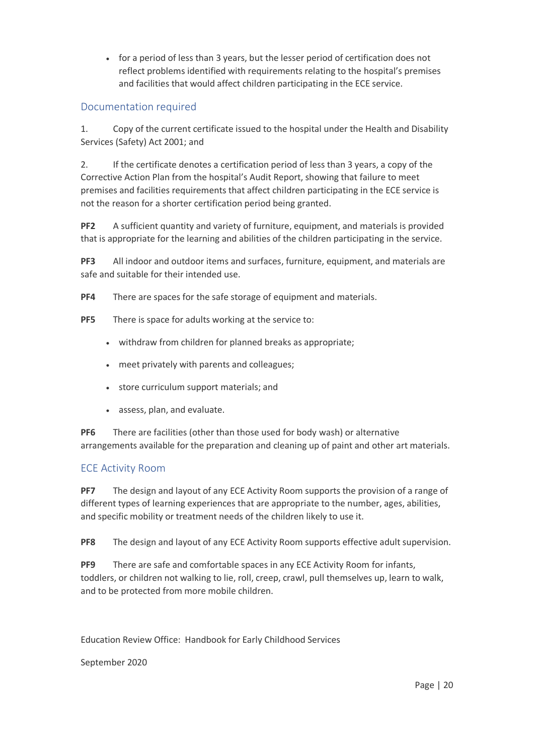• for a period of less than 3 years, but the lesser period of certification does not reflect problems identified with requirements relating to the hospital's premises and facilities that would affect children participating in the ECE service.

## Documentation required

1. Copy of the current certificate issued to the hospital under the Health and Disability Services (Safety) Act 2001; and

2. If the certificate denotes a certification period of less than 3 years, a copy of the Corrective Action Plan from the hospital's Audit Report, showing that failure to meet premises and facilities requirements that affect children participating in the ECE service is not the reason for a shorter certification period being granted.

**PF2** A sufficient quantity and variety of furniture, equipment, and materials is provided that is appropriate for the learning and abilities of the children participating in the service.

**PF3** All indoor and outdoor items and surfaces, furniture, equipment, and materials are safe and suitable for their intended use.

**PF4** There are spaces for the safe storage of equipment and materials.

- **PF5** There is space for adults working at the service to:
	- withdraw from children for planned breaks as appropriate;
	- meet privately with parents and colleagues;
	- store curriculum support materials; and
	- assess, plan, and evaluate.

**PF6** There are facilities (other than those used for body wash) or alternative arrangements available for the preparation and cleaning up of paint and other art materials.

### ECE Activity Room

**PF7** The design and layout of any ECE Activity Room supports the provision of a range of different types of learning experiences that are appropriate to the number, ages, abilities, and specific mobility or treatment needs of the children likely to use it.

**PF8** The design and layout of any ECE Activity Room supports effective adult supervision.

**PF9** There are safe and comfortable spaces in any ECE Activity Room for infants, toddlers, or children not walking to lie, roll, creep, crawl, pull themselves up, learn to walk, and to be protected from more mobile children.

Education Review Office: Handbook for Early Childhood Services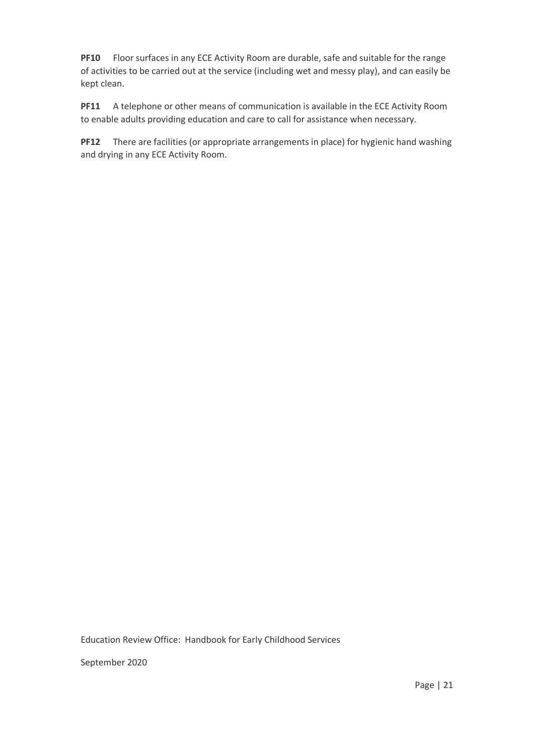**PF10** Floor surfaces in any ECE Activity Room are durable, safe and suitable for the range of activities to be carried out at the service (including wet and messy play), and can easily be kept clean.

**PF11** A telephone or other means of communication is available in the ECE Activity Room to enable adults providing education and care to call for assistance when necessary.

**PF12** There are facilities (or appropriate arrangements in place) for hygienic hand washing and drying in any ECE Activity Room.

Education Review Office: Handbook for Early Childhood Services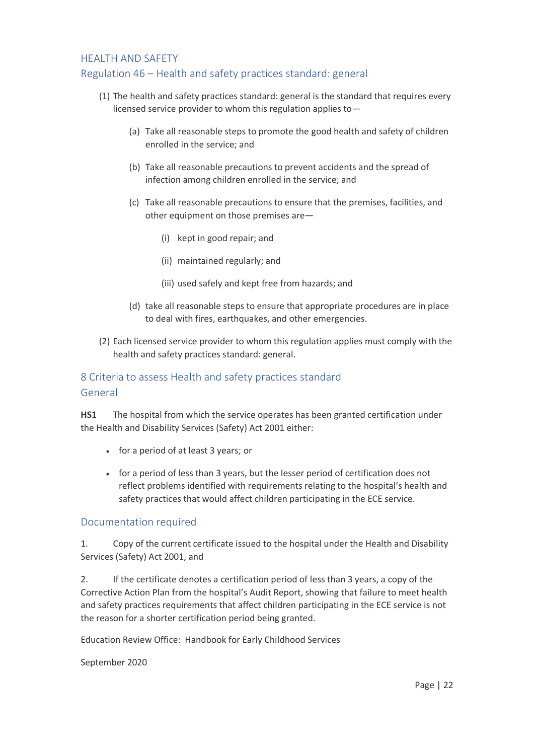## HEALTH AND SAFETY Regulation 46 – Health and safety practices standard: general

## (1) The health and safety practices standard: general is the standard that requires every licensed service provider to whom this regulation applies to—

- (a) Take all reasonable steps to promote the good health and safety of children enrolled in the service; and
- (b) Take all reasonable precautions to prevent accidents and the spread of infection among children enrolled in the service; and
- (c) Take all reasonable precautions to ensure that the premises, facilities, and other equipment on those premises are—
	- (i) kept in good repair; and
	- (ii) maintained regularly; and
	- (iii) used safely and kept free from hazards; and
- (d) take all reasonable steps to ensure that appropriate procedures are in place to deal with fires, earthquakes, and other emergencies.
- (2) Each licensed service provider to whom this regulation applies must comply with the health and safety practices standard: general.

## 8 Criteria to assess Health and safety practices standard General

**HS1** The hospital from which the service operates has been granted certification under the Health and Disability Services (Safety) Act 2001 either:

- for a period of at least 3 years; or
- for a period of less than 3 years, but the lesser period of certification does not reflect problems identified with requirements relating to the hospital's health and safety practices that would affect children participating in the ECE service.

### Documentation required

1. Copy of the current certificate issued to the hospital under the Health and Disability Services (Safety) Act 2001, and

2. If the certificate denotes a certification period of less than 3 years, a copy of the Corrective Action Plan from the hospital's Audit Report, showing that failure to meet health and safety practices requirements that affect children participating in the ECE service is not the reason for a shorter certification period being granted.

Education Review Office: Handbook for Early Childhood Services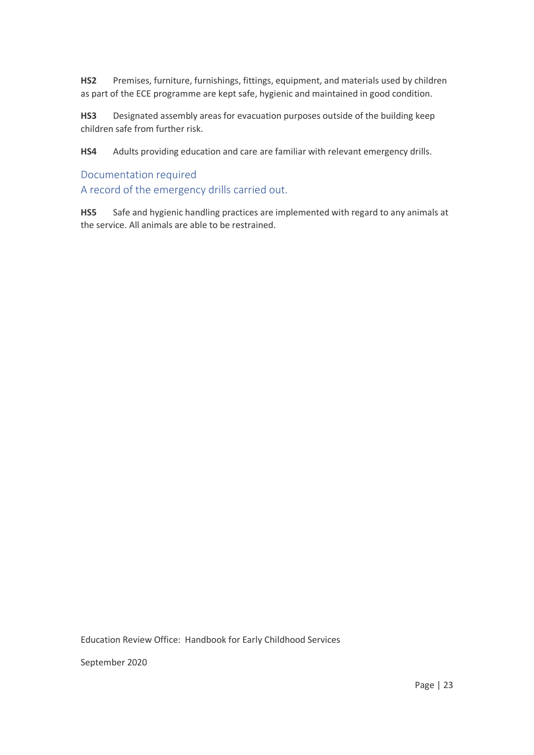**HS2** Premises, furniture, furnishings, fittings, equipment, and materials used by children as part of the ECE programme are kept safe, hygienic and maintained in good condition.

**HS3** Designated assembly areas for evacuation purposes outside of the building keep children safe from further risk.

**HS4** Adults providing education and care are familiar with relevant emergency drills.

### Documentation required

A record of the emergency drills carried out.

**HS5** Safe and hygienic handling practices are implemented with regard to any animals at the service. All animals are able to be restrained.

Education Review Office: Handbook for Early Childhood Services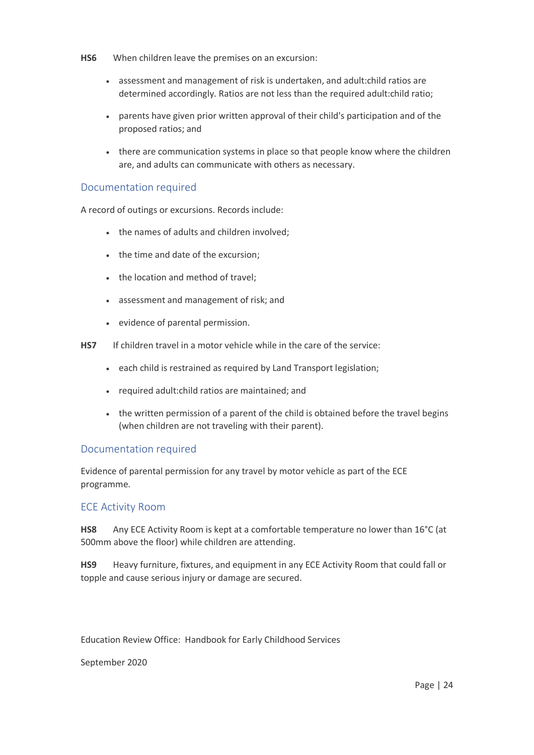- **HS6** When children leave the premises on an excursion:
	- assessment and management of risk is undertaken, and adult:child ratios are determined accordingly. Ratios are not less than the required adult:child ratio;
	- parents have given prior written approval of their child's participation and of the proposed ratios; and
	- there are communication systems in place so that people know where the children are, and adults can communicate with others as necessary.

### Documentation required

A record of outings or excursions. Records include:

- the names of adults and children involved;
- the time and date of the excursion;
- the location and method of travel;
- assessment and management of risk; and
- evidence of parental permission.
- **HS7** If children travel in a motor vehicle while in the care of the service:
	- each child is restrained as required by Land Transport legislation;
	- required adult:child ratios are maintained; and
	- the written permission of a parent of the child is obtained before the travel begins (when children are not traveling with their parent).

### Documentation required

Evidence of parental permission for any travel by motor vehicle as part of the ECE programme.

### ECE Activity Room

**HS8** Any ECE Activity Room is kept at a comfortable temperature no lower than 16°C (at 500mm above the floor) while children are attending.

**HS9** Heavy furniture, fixtures, and equipment in any ECE Activity Room that could fall or topple and cause serious injury or damage are secured.

Education Review Office: Handbook for Early Childhood Services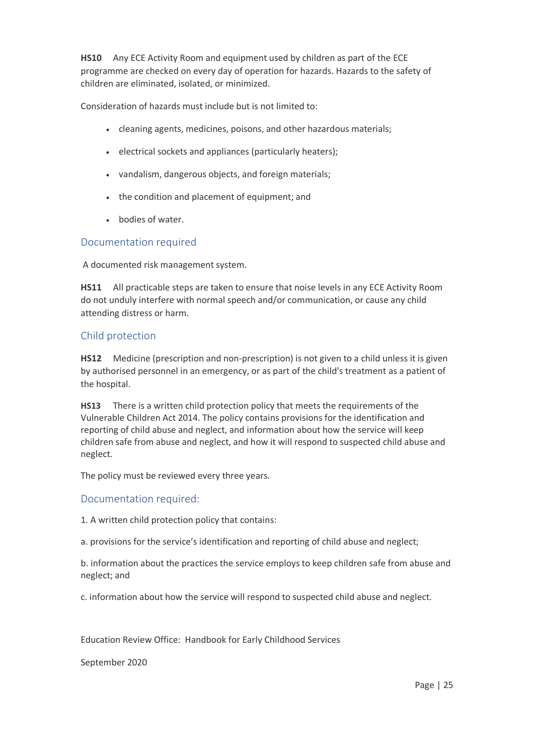**HS10** Any ECE Activity Room and equipment used by children as part of the ECE programme are checked on every day of operation for hazards. Hazards to the safety of children are eliminated, isolated, or minimized.

Consideration of hazards must include but is not limited to:

- cleaning agents, medicines, poisons, and other hazardous materials;
- electrical sockets and appliances (particularly heaters);
- vandalism, dangerous objects, and foreign materials;
- the condition and placement of equipment; and
- bodies of water.

#### Documentation required

A documented risk management system.

**HS11** All practicable steps are taken to ensure that noise levels in any ECE Activity Room do not unduly interfere with normal speech and/or communication, or cause any child attending distress or harm.

#### Child protection

**HS12** Medicine (prescription and non-prescription) is not given to a child unless it is given by authorised personnel in an emergency, or as part of the child's treatment as a patient of the hospital.

**HS13** There is a written child protection policy that meets the requirements of the Vulnerable Children Act 2014. The policy contains provisions for the identification and reporting of child abuse and neglect, and information about how the service will keep children safe from abuse and neglect, and how it will respond to suspected child abuse and neglect.

The policy must be reviewed every three years.

### Documentation required:

1. A written child protection policy that contains:

a. provisions for the service's identification and reporting of child abuse and neglect;

b. information about the practices the service employs to keep children safe from abuse and neglect; and

c. information about how the service will respond to suspected child abuse and neglect.

Education Review Office: Handbook for Early Childhood Services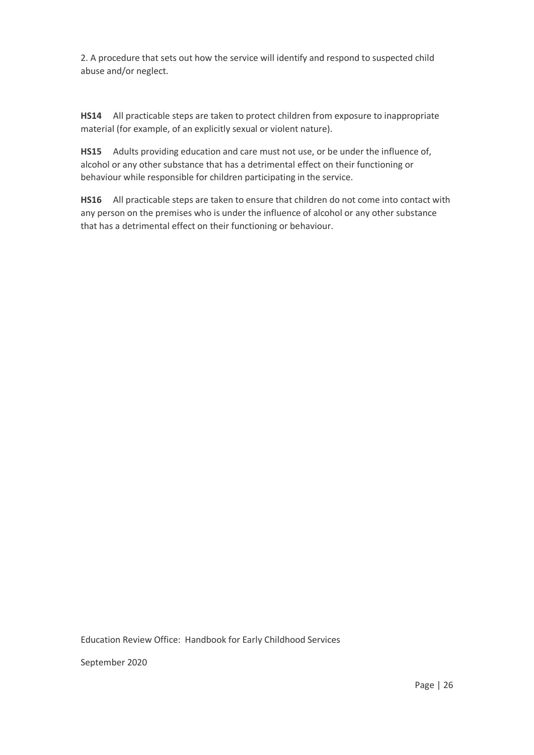2. A procedure that sets out how the service will identify and respond to suspected child abuse and/or neglect.

**HS14** All practicable steps are taken to protect children from exposure to inappropriate material (for example, of an explicitly sexual or violent nature).

**HS15** Adults providing education and care must not use, or be under the influence of, alcohol or any other substance that has a detrimental effect on their functioning or behaviour while responsible for children participating in the service.

**HS16** All practicable steps are taken to ensure that children do not come into contact with any person on the premises who is under the influence of alcohol or any other substance that has a detrimental effect on their functioning or behaviour.

Education Review Office: Handbook for Early Childhood Services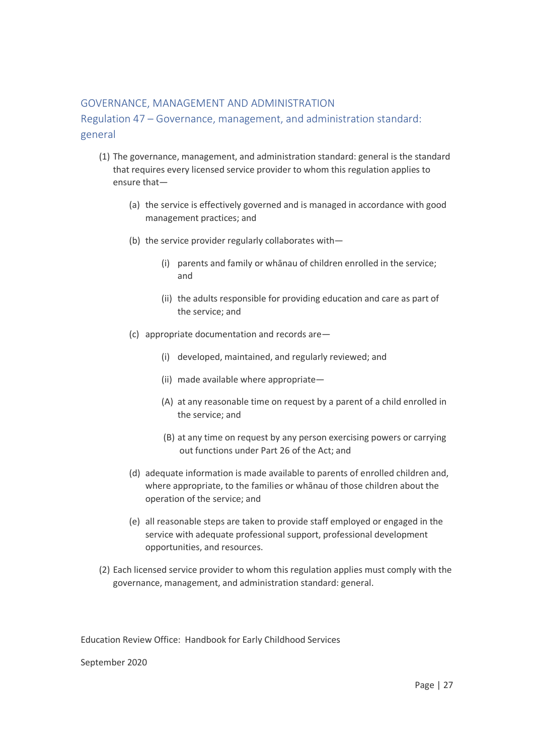## GOVERNANCE, MANAGEMENT AND ADMINISTRATION

Regulation 47 – Governance, management, and administration standard: general

- (1) The governance, management, and administration standard: general is the standard that requires every licensed service provider to whom this regulation applies to ensure that—
	- (a) the service is effectively governed and is managed in accordance with good management practices; and
	- (b) the service provider regularly collaborates with—
		- (i) parents and family or whānau of children enrolled in the service; and
		- (ii) the adults responsible for providing education and care as part of the service; and
	- (c) appropriate documentation and records are—
		- (i) developed, maintained, and regularly reviewed; and
		- (ii) made available where appropriate—
		- (A) at any reasonable time on request by a parent of a child enrolled in the service; and
		- (B) at any time on request by any person exercising powers or carrying out functions under Part 26 of the Act; and
	- (d) adequate information is made available to parents of enrolled children and, where appropriate, to the families or whānau of those children about the operation of the service; and
	- (e) all reasonable steps are taken to provide staff employed or engaged in the service with adequate professional support, professional development opportunities, and resources.
- (2) Each licensed service provider to whom this regulation applies must comply with the governance, management, and administration standard: general.

Education Review Office: Handbook for Early Childhood Services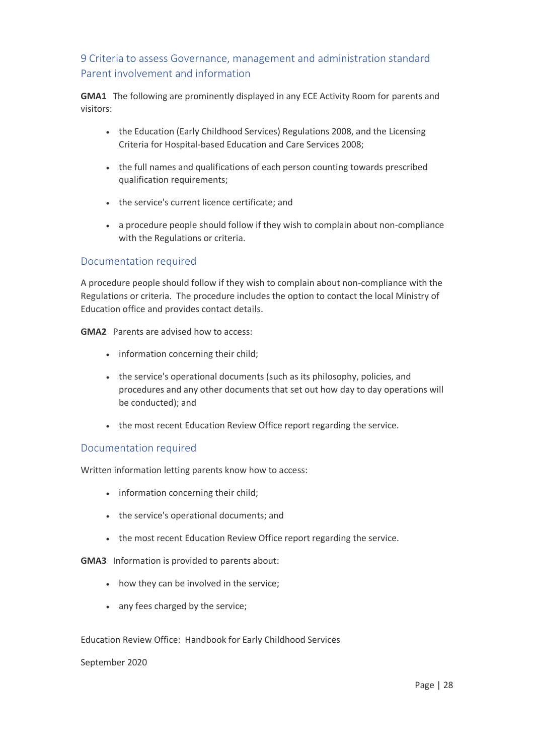# 9 Criteria to assess Governance, management and administration standard Parent involvement and information

**GMA1** The following are prominently displayed in any ECE Activity Room for parents and visitors:

- the Education (Early Childhood Services) Regulations 2008, and the Licensing Criteria for Hospital-based Education and Care Services 2008;
- the full names and qualifications of each person counting towards prescribed qualification requirements;
- the service's current licence certificate; and
- a procedure people should follow if they wish to complain about non-compliance with the Regulations or criteria.

## Documentation required

A procedure people should follow if they wish to complain about non-compliance with the Regulations or criteria. The procedure includes the option to contact the local Ministry of Education office and provides contact details.

**GMA2** Parents are advised how to access:

- information concerning their child;
- the service's operational documents (such as its philosophy, policies, and procedures and any other documents that set out how day to day operations will be conducted); and
- the most recent Education Review Office report regarding the service.

### Documentation required

Written information letting parents know how to access:

- information concerning their child;
- the service's operational documents; and
- the most recent Education Review Office report regarding the service.

**GMA3** Information is provided to parents about:

- how they can be involved in the service;
- any fees charged by the service;

Education Review Office: Handbook for Early Childhood Services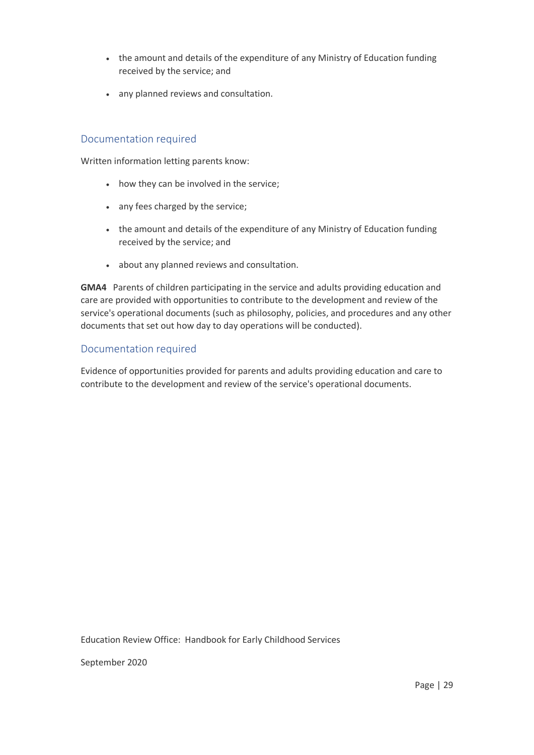- the amount and details of the expenditure of any Ministry of Education funding received by the service; and
- any planned reviews and consultation.

## Documentation required

Written information letting parents know:

- how they can be involved in the service;
- any fees charged by the service;
- the amount and details of the expenditure of any Ministry of Education funding received by the service; and
- about any planned reviews and consultation.

**GMA4** Parents of children participating in the service and adults providing education and care are provided with opportunities to contribute to the development and review of the service's operational documents (such as philosophy, policies, and procedures and any other documents that set out how day to day operations will be conducted).

### Documentation required

Evidence of opportunities provided for parents and adults providing education and care to contribute to the development and review of the service's operational documents.

Education Review Office: Handbook for Early Childhood Services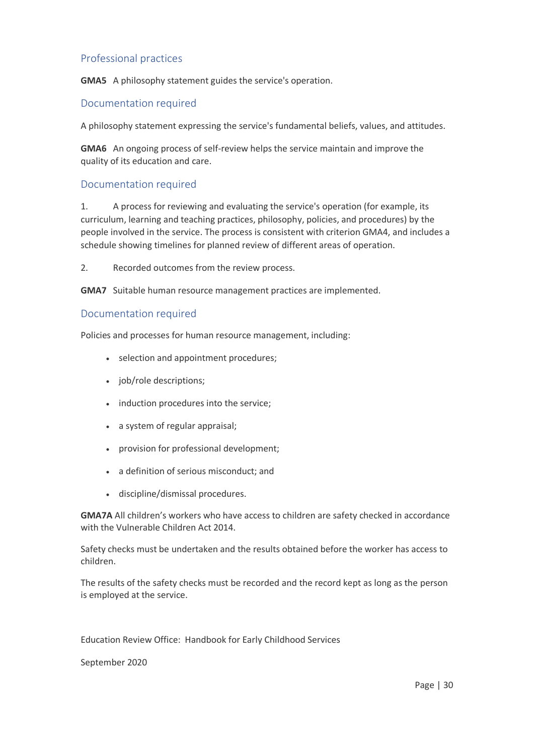## Professional practices

**GMA5** A philosophy statement guides the service's operation.

## Documentation required

A philosophy statement expressing the service's fundamental beliefs, values, and attitudes.

**GMA6** An ongoing process of self-review helps the service maintain and improve the quality of its education and care.

### Documentation required

1. A process for reviewing and evaluating the service's operation (for example, its curriculum, learning and teaching practices, philosophy, policies, and procedures) by the people involved in the service. The process is consistent with criterion GMA4, and includes a schedule showing timelines for planned review of different areas of operation.

2. Recorded outcomes from the review process.

**GMA7** Suitable human resource management practices are implemented.

#### Documentation required

Policies and processes for human resource management, including:

- selection and appointment procedures;
- job/role descriptions;
- induction procedures into the service;
- a system of regular appraisal;
- provision for professional development;
- a definition of serious misconduct; and
- discipline/dismissal procedures.

**GMA7A** All children's workers who have access to children are safety checked in accordance with the Vulnerable Children Act 2014.

Safety checks must be undertaken and the results obtained before the worker has access to children.

The results of the safety checks must be recorded and the record kept as long as the person is employed at the service.

Education Review Office: Handbook for Early Childhood Services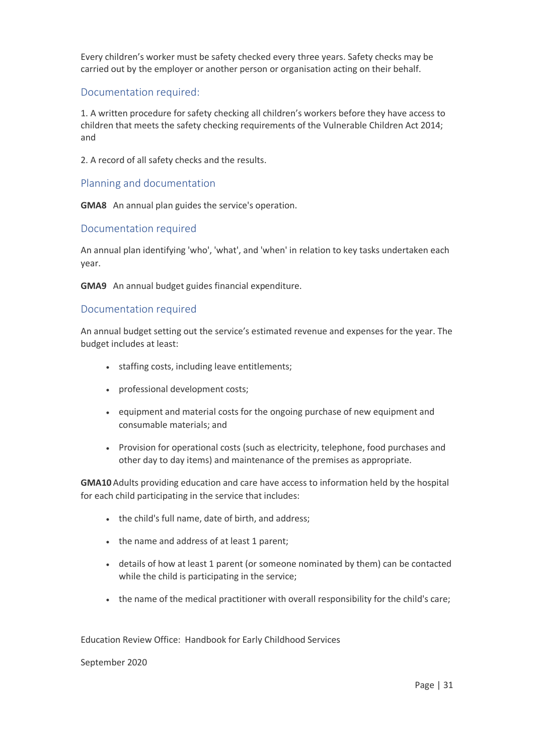Every children's worker must be safety checked every three years. Safety checks may be carried out by the employer or another person or organisation acting on their behalf.

### Documentation required:

1. A written procedure for safety checking all children's workers before they have access to children that meets the safety checking requirements of the Vulnerable Children Act 2014; and

2. A record of all safety checks and the results.

#### Planning and documentation

**GMA8** An annual plan guides the service's operation.

#### Documentation required

An annual plan identifying 'who', 'what', and 'when' in relation to key tasks undertaken each year.

**GMA9** An annual budget guides financial expenditure.

#### Documentation required

An annual budget setting out the service's estimated revenue and expenses for the year. The budget includes at least:

- staffing costs, including leave entitlements;
- professional development costs;
- equipment and material costs for the ongoing purchase of new equipment and consumable materials; and
- Provision for operational costs (such as electricity, telephone, food purchases and other day to day items) and maintenance of the premises as appropriate.

**GMA10** Adults providing education and care have access to information held by the hospital for each child participating in the service that includes:

- the child's full name, date of birth, and address;
- the name and address of at least 1 parent;
- details of how at least 1 parent (or someone nominated by them) can be contacted while the child is participating in the service;
- the name of the medical practitioner with overall responsibility for the child's care;

Education Review Office: Handbook for Early Childhood Services